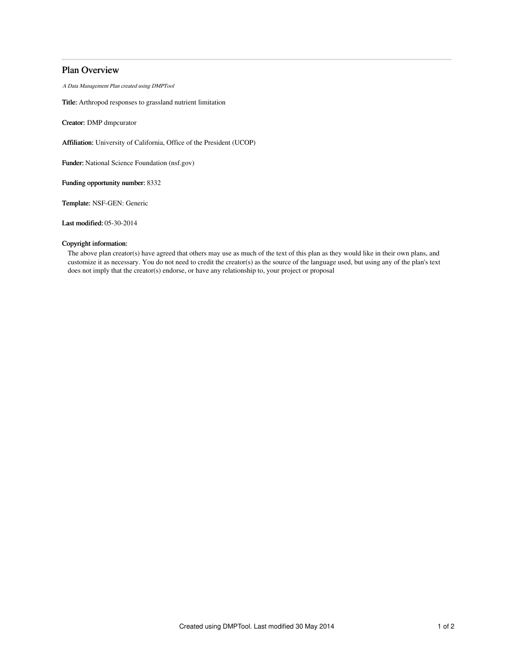# Plan Overview

A Data Management Plan created using DMPTool

Title: Arthropod responses to grassland nutrient limitation

Creator: DMP dmpcurator

Affiliation: University of California, Office of the President (UCOP)

Funder: National Science Foundation (nsf.gov)

Funding opportunity number: 8332

Template: NSF-GEN: Generic

Last modified: 05-30-2014

# Copyright information:

The above plan creator(s) have agreed that others may use as much of the text of this plan as they would like in their own plans, and customize it as necessary. You do not need to credit the creator(s) as the source of the language used, but using any of the plan's text does not imply that the creator(s) endorse, or have any relationship to, your project or proposal